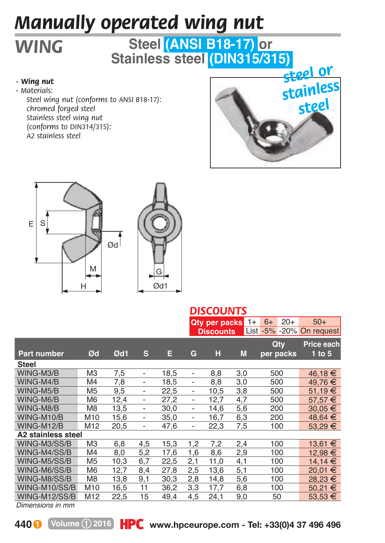## *Manually operated wing nut*

## **Steel (ANSI B18-17) or Stainless steel (DIN315/315)**

## *- Wing nut*

*WING*

*- M aterials:* 

*Steel wing nut (conforms to ANSI B18-17): chromed forged steel Stainless steel wing nut (conforms to DIN314/315): A2 stainless steel*







|                    |                |      |                              |      |                              | Qty per packs<br><b>Discounts</b> |     | $6+$<br>$1+$<br>$-5%$<br>List <sup>1</sup> | $20+$<br>$-20%$ | $50+$<br><b>On</b><br>request |
|--------------------|----------------|------|------------------------------|------|------------------------------|-----------------------------------|-----|--------------------------------------------|-----------------|-------------------------------|
|                    |                |      |                              |      |                              |                                   |     | Qty                                        |                 | Price each                    |
| <b>Part number</b> | Ød             | Ød1  | s                            | Ε    | G                            | н                                 | M   | per packs                                  |                 | $1$ to $5$                    |
| Steel              |                |      |                              |      |                              |                                   |     |                                            |                 |                               |
| WING-M3/B          | MЗ             | 7.5  | $\overline{\phantom{a}}$     | 18,5 | $\overline{\phantom{0}}$     | 8,8                               | 3,0 | 500                                        |                 | 46,18€                        |
| WING-M4/B          | M <sub>4</sub> | 7,8  | $\overline{\phantom{a}}$     | 18,5 | $\overline{\phantom{a}}$     | 8,8                               | 3,0 | 500                                        |                 | 49.76 €                       |
| WING-M5/B          | M <sub>5</sub> | 9,5  | $\overline{\phantom{a}}$     | 22.5 | $\overline{\phantom{a}}$     | 10.5                              | 3,8 | 500                                        |                 | 51.19 €                       |
| WING-M6/B          | M <sub>6</sub> | 12,4 | $\qquad \qquad \blacksquare$ | 27,2 | $\overline{\phantom{0}}$     | 12,7                              | 4,7 | 500                                        |                 | 57.57 €                       |
| WING-M8/B          | M8             | 13,5 | $\overline{\phantom{a}}$     | 30,0 | $\overline{\phantom{a}}$     | 14,6                              | 5,6 | 200                                        |                 | $30,05 \in$                   |
| WING-M10/B         | M10            | 15,6 | $\overline{\phantom{a}}$     | 35,0 | $\overline{\phantom{0}}$     | 16,7                              | 6,3 | 200                                        |                 | 48,64 €                       |
| WING-M12/B         | M12            | 20,5 | $\overline{\phantom{a}}$     | 47,6 | $\qquad \qquad \blacksquare$ | 22,3                              | 7,5 | 100                                        |                 | 53,29 €                       |
| A2 stainless steel |                |      |                              |      |                              |                                   |     |                                            |                 |                               |
| WING-M3/SS/B       | M <sub>3</sub> | 6,8  | 4,5                          | 15,3 | 1,2                          | 7,2                               | 2,4 | 100                                        |                 | 13.61 €                       |
| WING-M4/SS/B       | M <sub>4</sub> | 8,0  | 5,2                          | 17,6 | 1,6                          | 8,6                               | 2,9 | 100                                        |                 | 12.98 €                       |
| WING-M5/SS/B       | M <sub>5</sub> | 10,3 | 6,7                          | 22,5 | 2,1                          | 11,0                              | 4,1 | 100                                        |                 | 14.14 €                       |
| WING-M6/SS/B       | M <sub>6</sub> | 12,7 | 8,4                          | 27,8 | 2,5                          | 13,6                              | 5,1 | 100                                        |                 | €<br>20.01                    |
| WING-M8/SS/B       | M <sub>8</sub> | 13,8 | 9,1                          | 30,3 | 2,8                          | 14,8                              | 5,6 | 100                                        |                 | €<br>28.23                    |
| WING-M10/SS/B      | M10            | 16,5 | 11                           | 36,2 | 3,3                          | 17.7                              | 6,8 | 100                                        |                 | €<br>50.21                    |
| WING-M12/SS/B      | M12            | 22,5 | 15                           | 49,4 | 4,5                          | 24,1                              | 9,0 | 50                                         |                 | €<br>53.53                    |

*Dimensions in mm*